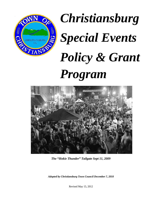

# *Christiansburg Special Events Policy & Grant Program*



*The "Hokie Thunder" Tailgate Sept 11, 2009* 

*Adopted by Christiansburg Town Council December 7, 2010* 

Revised May 15, 2012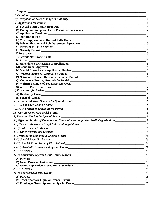|                                                                                                              | $\frac{1}{2}$ 3            |
|--------------------------------------------------------------------------------------------------------------|----------------------------|
| <i>II. Definitions</i>                                                                                       |                            |
|                                                                                                              |                            |
|                                                                                                              |                            |
|                                                                                                              |                            |
|                                                                                                              |                            |
|                                                                                                              |                            |
| D) Application Fee                                                                                           |                            |
|                                                                                                              |                            |
|                                                                                                              |                            |
|                                                                                                              |                            |
|                                                                                                              |                            |
|                                                                                                              |                            |
|                                                                                                              |                            |
|                                                                                                              |                            |
|                                                                                                              |                            |
|                                                                                                              |                            |
|                                                                                                              |                            |
|                                                                                                              |                            |
|                                                                                                              |                            |
|                                                                                                              | 7                          |
|                                                                                                              |                            |
|                                                                                                              |                            |
|                                                                                                              |                            |
| <b>B</b> ) Form of Appeal                                                                                    |                            |
|                                                                                                              |                            |
|                                                                                                              |                            |
|                                                                                                              |                            |
|                                                                                                              |                            |
|                                                                                                              | $\overline{\phantom{a}}$ 9 |
| XI) Effect of Receipt of Donations on Status of tax-exempt Non-Profit Organizations _______________________9 |                            |
|                                                                                                              | $\boldsymbol{g}$           |
| <b>XIII</b> ) Enforcement Authority                                                                          | 9                          |
|                                                                                                              |                            |
|                                                                                                              |                            |
|                                                                                                              |                            |
|                                                                                                              |                            |
|                                                                                                              |                            |
|                                                                                                              |                            |
|                                                                                                              |                            |
|                                                                                                              |                            |
|                                                                                                              |                            |
|                                                                                                              |                            |
|                                                                                                              |                            |
| <b>ADDENDUM II</b>                                                                                           |                            |
|                                                                                                              |                            |
|                                                                                                              |                            |
|                                                                                                              |                            |
|                                                                                                              | 15                         |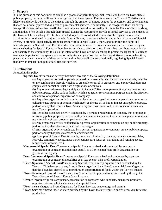#### **I. Purpose**

It is the purpose of this document to establish a process for permitting Special Events conducted on Town streets, public property, parks or facilities. It is recognized that these Special Events enhance the Town of Christiansburg lifestyle and provide benefits to the citizens through the creation of unique venues for expression and entertainment that are not normally provided as a part of governmental services. Additionally, it is recognized that Tax-exempt Non-profit Organizations that benefit the community are central to the quality of life in the Town of Christiansburg and that they often develop through their Special Events the resources to provide essential services to the citizens of the Town of Christiansburg. It is further intended to provide coordinated policies for the regulation of certain activities to be conducted in conjunction with Special Events, to ensure the health and safety of patrons of Special Events, to prohibit illegal activity from occurring within Special Event Venues, and to protect the rights and interests granted a Special Event Permit holder. It is further intended to create a mechanism for cost recovery and revenue sharing for Special Events without having an adverse effect on those Events that contribute economically and socially to the community. It is also the intent of the Town of Christiansburg to protect the rights of its citizens to engage in protected free speech expression activities and yet allow for the least restrictive and reasonable, time, place and manner regulation of those activities within the overall context of rationally regulating Special Events that have an impact upon public facilities and services.

#### **II. Definitions**

As used in this policy:

**"Special Event"** means an activity that meets any one of the following definitions:

(a) Any organized formation, parade, procession or assembly which may include animals, vehicles or any combination thereof, which is to assemble or travel in unison on any Street which does not comply with normal or usual traffic regulations or controls.

(b) Any organized assemblage anticipated to include 200 or more persons at any one time, on any public property, public park or facility which is to gather for a common purpose under the direction and control of a person, organization or company.

(c) Any other organized activity conducted by a person, organization or company for a common or collective use, purpose or benefit which involves the use of, or has an impact on a public property, park or facility that requires Town Services beyond those conveyed in the course of normal and usual Town operation.

(d) Any other organized activity conducted by a person, organization or company that proposes to utilize any public property, park or facility in a manner inconsistent with the design and normal and usual function of such property, park or facility.

(e) Any organized activity conducted by a person, organization or company on any public property, park or facility that plans to sell alcoholic beverages.

(f) Any organized activity conducted by a person, organization or company on any public property, park or facility that plans to charge an admission fee.

(g) Examples of Special Events include, but are not limited to, concerts, parades, circuses, fairs, festivals, community events, mass participation sports (such as, marathons and running events, bicycle races or tours, etc.).

- **"Commercial Special Event"** means any Special Event organized and conducted by any person, organization or company that does not qualify as a Tax-exempt Non-profit Organization or governmental agency.
- **"Non-Commercial Special Event"** means any Special Event organized and conducted by a person, organization or company that qualifies as a Tax-exempt Non-profit Organization.
- "**Town-Sponsored Special Event"** means any Special Event directly organized and conducted by the Town of Christiansburg or any Special Event organized by a Non-Commercial Event Organizer that the Town has elected to support through appropriation of funds within the Town's budget.
- **"Town-Sanctioned Special Event"** means any Special Event approved to receive funding through the Town-Sanctioned Special Event Grant Program.
- **"Event Organizer"** means any person, organization or company, who conducts, managers, promotes, organizes, aids or solicits attendance at a Special Event.
- **"Fees"** means charges to Event Organizers for Town Services, venue usage and permits.
- **"Town Services"** means those services provided by the Town that are required and/or necessary for event production.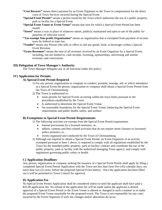- **"Cost Recover"** means direct payment by an Event Organizer to the Town in compensation for the direct costs of Town Services incurred during the Special Event.
- **"Special Event Permit"** means a permit issued by the Town which authorizes the use of a public property, park or facility for a Special Event.
- **"Special Event Venue or Event Venue"** means that area for which a Special Event Permit has been issued.
- **"Street"** means a way or place of whatever nature, publicly maintained and open to use of the public for purposes of vehicular travel.
- **"Tax-exempt Non-profit Organization"** means an organization that is exempted from payment of income taxes by federal or state law.
- **"Vendor"** means any Person who sells or offers to sell any goods, food, or beverages within a Special Event Revenue.
- **"Gross Revenues"** means the sum of all revenues received by an Event Organizer for a Special Event, including, but not limited to, cash receipts, licensing, sponsorships, advertising and similar revenues, and concessions.

#### **III) Delegation of Town Manager's Authority**

The Town Manager delegates any or all functions under this policy.

#### **IV) Application for Permits**

#### **A) Special Event Permit Required**

- 1) For any person, organization or company to conduct, promote, manage, aid, or solicit attendance at a Special Event the person, organization or company shall obtain a Special Event Permit from the Town of Christiansburg.
- 2) The Town is authorized to:
	- Issue permits for Special Events occurring within the town limits pursuant to the procedures established by the Town.
	- Is authorized to determine the Special Event Venue.
	- Set reasonable boundaries for the Special Event Venue, balancing the Special Event requirements and public health, safety, and welfare.

#### **B) Exemptions to Special Event Permit Requirements**

1) The following activities are exempt from the Special Event Permit requirement:

- funeral processions by a licensed mortuary; or,
- athletic contests and their related activities that do not require street closures or increased police presence; or,
- events organized and conducted by the Town of Christiansburg.
- 2) Although not required to obtain a Special Event Permit, an Event Organizer of an activity exempted pursuant to Item 1 above, is required to comply with all regulations established by the Town for the intended public property, park or facility; contract and coordinate the use of the public property, park or facility with the authorized managing Town agency; and comply with regulations governing public safety or health.

#### **C) Application Deadlines**

Any person, organization or company seeking the issuance of a Special Event Permit shall apply by filing a completed Special Event Permit Application with the Town not less than forty-five (45) calendar days, nor more than two (2) years, before the proposed Special Event date(s). Once the application has been filled out it will be presented to Town Council for approval.

#### **D) Application Fee**

No Special Event Permit Application shall be considered unless or until the applicant shall have paid a \$25.00 application fee. No refund of the application fee will be made unless the applicant is denied approval of a Special Event Permit or the Event Venue is altered or changed in such a manner as to make the proposed Event Venue unsuitable for the proposed event. The Town is not responsible for any costs incurred by the Event Organizer if such site changes and/or alterations do occur.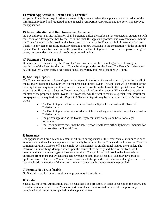#### **E) When Application is Deemed Fully Executed**

A Special Event Permit Application is deemed fully executed when the applicant has provided all of the information required and requested on the Special Event Permit Application and the Town has approved the application.

#### **F) Indemnification and Reimbursement Agreement**

No Special Event Permit Application shall be granted unless the applicant has executed an agreement with the Town, on a form prescribed by the Town, in which the applicant promises and covenants to reimburse the Town for any costs incurred by the Town; and to indemnify the Town and hold it harmless from any liability to any person resulting from any damage or injury occurring in the connection with the permitted Special Event caused by the action of the permittee, the Event Organizer, its officers, employees or agents or any person under their control insofar as permitted by law.

#### **G) Payment of Town Services**

Unless otherwise indicated by the Town, the Town will invoice the Event Organizer following the conclusion of the Event for the cost of Town Services provided for the Event. The Event Organizer must pay all invoices within thirty (30) calendar days; thereafter, applicable late fees will apply.

#### **H) Security Deposit**

The Town may require an Event Organizer to prepay, in the form of a security deposit, a portion or all of the estimated costs of Town Services for the proposed Special Event. The applicant will be notified of the Security Deposit requirement at the time of official response from the Town to the Special Event Permit Application. If required, a Security Deposit must be paid no later than twenty (20) calendar days prior to the start of the proposed Special Event. The Town reserves the right to revoke a Special Event Permit for non-payment of a required Security Deposit. A Security Deposit may be required at the Town's discretion when:

- The Event Organizer has never before hosted a Special Event within the Town of Christiansburg
- The Event Organizer is not a resident of Christiansburg or is not a business located within Christiansburg.
- The person applying as the Event Organizer is not doing so on behalf of a legal corporation.
- The Town believes there may be some reason it will have difficulty being reimbursed for its costs after the Special Event.

#### **I) Insurance**

The applicant shall procure and maintain at all times during its use of the Event Venue, insurance in such amounts and with such coverage as shall reasonably be required by the Town and shall name the "Town of Christiansburg, it's officers, officials, employees and agents" as an additional insured there under. The Town of Christiansburg Manager based upon the nature of the activity and the risk involved, shall determine the amounts and type of insurance required. The applicant shall provide the Town with a certificate from an insurer evidencing such coverage no later than fifteen (15) calendar days prior to applicant's use of the Event Venue. The certificate shall also provide that the insurer shall give the Town reasonable advance notice of the insurer's intent to cancel the insurance coverage provided.

#### **J) Permits Not Transferable**

No Special Event Permit or conditional approval may be transferred.

#### **K) Order**

Special Event Permit Applications shall be considered and processed in order of receipt by the Town. The use of a particular public Event Venue or part thereof shall be allocated in order of receipt of fully completed applications accompanied by the application fee.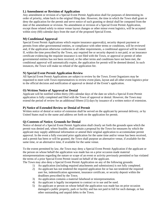#### **L) Amendment or Revision of Application**

Any amendment or revision of a Special Event Permit Application shall for purposes of determining its order of priority, relate back to the original filing date. However, the time in which the Town shall grant or deny the application for the permit and serve notice of such granting or denial shall be computed from the date of the amendment or revision. No amendment or revision of a Special Event Permit Application, except those related solely to minor venue layout changes or other minor event logistics, will be accepted within sixty (60) calendar days from the start of the proposed Special Event.

#### **M) Conditional Approval**

Special Event Permit Applications which require insurance approval(s), security deposit payment or permits from other governmental entities, or compliance with other terms or conditions, will be reviewed and, if the application otherwise conforms to all other requirements, a conditional approval will be issued. If, within the time prescribed by the Town, any required fee or security deposit is not paid, or an insurance certificate evidencing the requisite insurance is not filed with the Town, or approval or permit of other governmental entities has not been received, or the other terms and conditions have not been met, the conditional approval will automatically expire, the application for permit will be deemed denied. In such instances, the Town will make no refund of the application fee.

#### **N) Special Event Permit Application Review**

All Special Event Permit Applications are subject to review by the Town. Event Organizers may be requested to meet with Town representatives to review event plans, layout and all other event logistics prior to the official decision and notification of approval or denial of the Event's application.

#### **O) Written Notice of Approval or Denial**

Applicant will be notified within thirty (30) calendar days of the date on which a Special Event Permit application is fully completed and filed with the Town of approval or denial. However, the Town may extend the period of review for an additional fifteen (15) days by issuance of a written notice of extension.

#### **P) Notice of Extended Review or Denial of Permit**

Written notice of denial or notice of extension shall be served on the applicant by personal delivery, or by United States mail to the name and address set forth on the application for permit.

#### **Q) Contents of Notice; Grounds for Denial**

Notice of denial of a Special Event Permit Application shall clearly set forth the grounds upon which the permit was denied and, where feasible, shall contain a proposal by the Town for measures by which the applicant may supply additional information or amend their original application to accommodate permit approval. In the event a fully executed prior application for the same time and/or venue has been received, and a permit has been or will be granted, the Town shall purpose an alternative venue, if available for the same time, or an alternative time, if available for the same venue.

To the extent permitted by law, the Town may deny a Special Event Permit Application if the applicant or the person on whose behalf the application was made has on a prior occasion made material misrepresentations regarding the nature or scope of an event or activity previously permitted or has violated the terms of a prior Special Event Permit issued on behalf of the applicant.

The Town may also deny a Special Event Permit Application on any of the following grounds:

- 1) An application (including required attachments and submissions) is not fully completed.
- 2) An applicant has not tendered the required application fee or has not tendered the required user fee, indemnification agreement, insurance certificate, or security deposit within the deadlines prescribed by the Town.
- 3) An application contains a material falsehood or misrepresentation.
- 4) An applicant is legally incompetent to contract or to sue and be sued.
- 5) An applicant or person on whose behalf the application was made has on prior occasion damaged a public property, park or facility and has not paid in full for such damage, or has other outstanding and unpaid debts to the Town.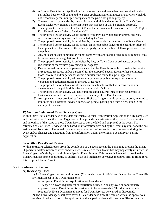- 6) A Special Event Permit Application for the same time and venue has been received, and a permit has been or will be granted to a prior applicant authorizing uses or activities which do not reasonably permit multiple occupancy of the particular public property.
- 7) The use or activity intended by the applicant would violate the terms of the Town's Special Event Exclusivity granted a prior applicant that has been or will be granted approval.
- 8) The applicant requests use of an Event Venue that is unavailable based on the Town's Right of First Refusal policy (refer to Section XVII).
- 9) The proposed use or activity would conflict with previously planned programs, projects, activities or events organized and conducted by the Town.
- 10) The proposed use or activity is prohibited by or unsuitable for the uses of the Event Venue.
- 11) The proposed use or activity would present an unreasonable danger to the health or safety of the applicant, or other users of the public property, park or facility, of Town personnel, or of the public.
- 12) An applicant has not complied or cannot comply with applicable licensure requirements, fees, taxes, ordinances or regulations of the Town.
- 13) The proposed use or activity is prohibited by law, by Town Code or ordinance, or by the regulations of the venue's governing public agency.
- 14) Due to limited resources and personnel capacity, the Town is not able to provide the required or requested resources and/or personnel for the proposed Special Event, or has committed those resources and/or personnel within a similar time frame to a prior applicant.
- 15) The proposed use or activity will substantially interrupt public transportation or other vehicular and pedestrian traffic in the area of its route.
- 16) The proposed use or activity would cause an irresolvable conflict with construction or development in the public right-of-way or at a public facility.
- 17) The proposed use or activity will have unmitigatable adverse impact upon residential or business access and traffic circulation in the vicinity of the Event Venue.
- 18) An applicant has not provided sufficient off-site parking or shuttle service, or both, required to minimize any substantial adverse impacts on general parking and traffic circulation in the vicinity of the event.

#### **R) Written Estimate of Town Services Costs**

Within thirty (30) calendar days of the date on which a Special Event Permit Application is fully completed and filed with the Town, the Event Organizer will be provided an estimate of the costs of Town Services and an outline of the scope of those Town Services to be scheduled and employed at the event. The estimated cost of Town Services will be based on information provided by the Event Organizer and the best estimates of Town staff. The actual costs may vary based on unforeseen factors prior to and during the event and/or changes and deviations from the information within the original Special Event Permit Application.

#### **S) Written Post-Event Review**

Within 60 (sixty) calendar days from the completion of a Special Event, the Town may provide the Event Organizer a written review of items and/or concerns related to their Event that may negatively influence the Event Organizer's ability to obtain future Special Event Permits. This review is intended to provide the Event Organizer ample opportunity to address, plan and implement corrective measures prior to filing for a future Special Event Permit.

## **V) Procedures for Review A) Review by Town**

1) An Event Organizer may within seven (7) calendar days of official notification by the Town, file a written appeal to the Town Manager if:

- A Special Event Permit Application has been denied.
- A specific Town requirement or restriction outlined in an approved or conditionally approved Special Event Permit is considered to be unreasonable. This does not include requests by Event Organizers that fees for Town Services be waived or discounted.

2) The Town Manager shall have seven (7) calendar days from the date on which the appeal was received in which to notify the applicant that the appeal has been affirmed, modified or reversed.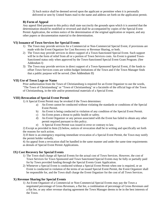3) Such notice shall be deemed served upon the applicant or permittee when it is personally delivered or sent by United States mail to the name and address set forth on the application permit.

#### **B) Form of Appeal**

Any appeal filed pursuant to this policy shall state succinctly the grounds upon which it is asserted that the determination should be modified or reversed and shall be accompanied by copies of the Special Event Permit Application, the written notice of the determination of the original application or request, and any other papers or documentation material to the determination.

#### **VI) Issuance of Town Services for Special Events**

- 1) The Town may provide services for a Commercial or Non-Commercial Special Event, if provisions are made with the Event Organizer for Cost Recovery or Revenue Sharing, or both.
- 2) The Town may provide services in direct support of a Town-Sanctioned Special Event. Such support will be in the form of relief from all or a portion of Town Services costs. An Event is granted Town-Sanctioned status only when approved by the Town-Sanctioned Special Event Grant Program. (See Addendum I)
- 3) The Town may provide services in direct support of a Town-Sponsored Special Event, if the funds to offset Town Services costs are within budget limitations of the Town and if the Town Manager finds that a public purpose will be served. (See Addendum II)

#### **VII) Use of Town Logo or Name**

Prior authorization from the Town of Christiansburg is required for an Event Organizer to use the words, "The Town of Christiansburg" or "Town of Christiansburg" or a facsimile of the official logo of the Town of Christiansburg, in the title and/or promotional materials of a Special Event.

#### **VIII) Revocation of Special Event Permit**

1) A Special Event Permit may be revoked if the Town determines:

- a) An Event cannot be conducted without violating the standards or conditions of the Special Event Permit.
- b) An Event is being conducted in violation of any condition of the Special Event Permit.
- c) An Event poses a threat to public health or safety.
- d) An Event Organizer or any person associated with the Event has failed to obtain any other permit required pursuant to this policy.
- e) A Special Event Permit was issued in error or contrary to law.

2) Except as provided in Item (3) below, notices of revocation shall be in writing and specifically set forth the reasons for such action.

3) If there is an emergency requiring immediate revocation of a Special Event Permit, the Town may notify the permit holder verbally.

4) An appeal from a revocation shall be handled in the same manner and under the same time requirements as denials of Special Event Permit Applications.

#### **IX) Cost Recovery for Special Events**

- 1) The Town shall charge all Special Events for the actual cost of Town Services. However, the cost of Town Services for Town Sponsored and Town Sanctioned Special Events may be fully or partially paid for by Town provided funding through the Special Events Grant Application.
- 2) Whenever a Special Event is conducted without a Special Event Permit when one is required, or an Event is conducted in violation of the terms of an issued Special Event Permit, the Event Organizer shall be responsible for, and the Town shall charge the Event Organizer for the cost of all Town Services.

#### **X) Revenue Sharing for Special Events**

1) An Event Organizer of a Commercial or Non-Commercial Special Events may pay the Town a negotiated percentage of Gross Revenues, a flat fee, a combination of percentage of Gross Revenues and a flat fee, or any other revenue sharing agreement the Town Manager deems to be in the best interests of the Town.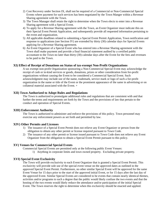- 2) Cost Recovery under Section IX, shall not be required of a Commercial or Non-Commercial Special Events where payment for such services has been negotiated by the Town Manger within a Revenue Sharing agreement with the Town.
- 3) The Town Manager shall retain the right to determine when the Town elects to enter into a Revenue Sharing agreement with a Special Event.
- 4) To apply for a Revenue Sharing agreement with the Town, an Event Organizer must indicate this on their Special Event Permit Application, and subsequently provide all requested information pertaining to the event and organization.
- 5) All applicable deadlines related to submitting a Special Event Permit Application, Town notification and response to applications (see Section IV) are extended by thirty (30) calendar days for Special Events applying for a Revenue Sharing agreement.
- 6) An Event Organizer of a Special Event who has entered into a Revenue Sharing agreement with the Town shall make payment and provide a final financial statement audited by a certified public accountant to the Town no later than thirty (30) calendar days after the Event for the fees and revenues to be paid to the Town.

#### **XI) Effect of Receipt of Donations on Status of tax-exempt Non-Profit Organizations**

A tax exempt non-profit Organization sponsoring a Non-Commercial Special Event may acknowledge the receipt of cash or in-kind services or goods, donations, prizes or other consideration from for-profit organizations without causing the Event to be considered a Commercial Special Event. Such acknowledgment may include use of the name, trademark, service mark or logo of such a for-profit organization in the name or title of the Event or the prominent appearance of the same in advertising or on collateral material associated with the Event. +

#### **XII) Town Authorized to Adopt Rules and Regulations**

The Town is authorized to promulgate additional rules and regulations that are consistent with and that further the terms and requirements set forth by the Town and the provisions of law that pertain to the conduct and operation of Special Events.

#### **XIII) Enforcement Authority**

The Town is authorized to administer and enforce the provisions of this policy. Town personnel may exercise any enforcement powers as set forth and permitted by law.

#### **XIV) Other Permits and Licenses**

- 1) The issuance of a Special Event Permit does not relieve any Event Organizer or person from the obligation to obtain any other permit or license required pursuant to Town Code.
- 2) The issuance of any other permit or license issued pursuant to Town Code does not relieve any Event Organizer from the obligation to obtain a Special Event Permit pursuant to this policy.

#### **XV) Venues for Commercial Special Events**

Commercial Special Events are permitted only at the following public Event Venues:

1) Anything in corporate limits and town owned property. Excluding private property.

#### **XVI) Special Event Exclusivity**

The Town will provide exclusivity to each Event Organizer that is granted a Special Event Permit. This exclusivity will provide sole use of the special event venue on the approved dates as outlined in the approved Special Event Permit. Furthermore, no other similar Special Event will be approved for the same Event Venue for 15 days prior to the start of the approved initial Event, or for 15 days after the last day of the approved Event. Similar Special Events are considered to be events that contain nearly identical themes, activities and/or programs to such a degree that the public would likely confuse the two events and that the hosting of the two events would likely reduce the attendance and/or participation of the initial Special Event. The Town reserves the right to determine when this exclusivity should be enacted and applied.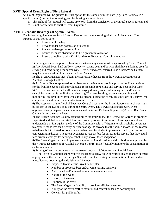#### **XVII) Special Event Right of First Refusal**

An Event Organizer will be granted the first option for the same or similar date (e.g. third Saturday in a specific month) during the following year for hosting a similar Event.

- 1) This right of first refusal will expire sixty (60) from the conclusion of the initial Special Event; and,
- 2) Is not transferable to another Event Organizer.

#### **XVIII) Alcoholic Beverages at Special Events**

The following guidelines are for all Special Events that include serving of alcoholic beverages. The purpose of this policy is to:

- Ensure public safety
- Prevent under-age possession of alcohol
- Prevent under-age consumption
- Ensure adequate observation to help prevent intoxication
- Ensure compliance with Virginia Alcohol Beverage Control regulations

1) Serving and consumption of beer and/or wine at any event must be approved by Town Council. 2) Any Special Event held on Town property serving beer and/or wine shall have a defined area for serving and consuming beer and/or wine. This defined area, referred to as a Beer/Wine Garden, may include a portion of or the entire Event Venue.

3) The Event Organizer must obtain the appropriate license from the Virginia Department of Alcohol Beverage Control.

4) All Special Events approved to sell beer and/or wine must provide, prior to the Event, training for the frontline event staff and volunteers responsible for selling and serving beer and/or wine. 5) All event volunteers and staff members engaged in any aspect of serving beer and/or wine (which includes but is not limited to checking ID's, arm banding, ticket sales, serving and monitoring) are prohibited from consuming alcohol during the event. This includes any server who completes their shift and is requested to return to duty.

6) The Applicant of the Alcohol Beverage Control license, or the Event Supervisor in charge, must be present at the Event Venue during the entire event. The Town requires that every event organizer clearly display the name or names of their event's Event Supervisor(s) in the Beer/Wine Garden during the entire Event.

7) The Event Organizer is solely responsibility for assuring that the Beer/Wine Garden is properly supervised and that its event staff has been properly trained to serve such beverages as well as understands that it is against the law of the Commonwealth of Virginia to sell alcoholic beverages to anyone who is less than twenty-one years of age, to anyone that the server knows, or has reason to believe, is intoxicated, or to anyone who has been forbidden to possess alcohol by a court of competent jurisdiction. The Event Organizer is responsible for advising the servers that they could face criminal charges for serving alcohol to any above-described person.

8) The Event Organizer must implement a system of identification and distribution as approved by the Virginia Department of Alcohol Beverage Control that effectively monitors the consumption of each event attendee.

9) Serving of beer and/or wine shall not extend beyond 11:00pm for any Special Event.

10) The Town of Christiansburg reserves the right to deny, cease or restrict, in any manner deemed appropriate, either prior to or during a Special Event the serving or consumption of beer and/or wine. Factors governing this decision will include:

- Proposed Event Venue layout & site plan
- Number of proposed beer and/or wine serving locations
- Anticipated and/or actual number of event attendees
- Nature of the event
- History of the event
- Duration of the event
- The Event Organizer's ability to provide sufficient event staff
- Ability of the event staff to monitor and control under-age consumption
- Concern for public safety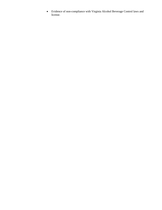Evidence of non-compliance with Virginia Alcohol Beverage Control laws and license.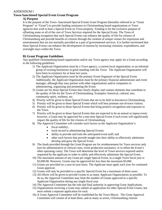#### ADDENDUM I **Town-Sanctioned Special Event Grant Program**

#### **A) Purpose**

It is the purpose of the Town- Sanctioned Special Events Grant Program (hereafter referred to as "Grant Program" or "Grant") to provide funding assistance to Christiansburg based organizations or Town agencies that wish to host a Special Event on Town property. Funding is for the exclusive purpose of offsetting some or all of the cost of Town Services required for the Special Event. The Town of Christiansburg recognizes that such Special Events can enhance the quality of life for citizens of Christiansburg and provide benefits to citizens through the creation of unique venues for expression and entertainment that are not normally provided as a part of governmental services. It is further envisioned that these Special Events can enhance the development of tourism by increasing visitation, expenditures, and overnight stays within the Town.

### **B) Grant Program Guidelines**

Any qualified Christiansburg based organization and/or any Town agency may apply for a Grant according to the following guidelines:

- 1) The Applicant Organization must be a Town agency, a current local organization, or an informal group of existing businesses in good standing with the Town. The Applicant Organization will have been in existence for at least two years.
- 2) The Applicant Organization must be the primary Event Organizer of the Special Event. Additionally, the Applicant Organization must be the primary financial administrator and event manager, although they may partner with other organizations and/or companies in administering, organizing and promoting the Event.
- 3) Grants are for those Special Events that clearly display and contain elements that contribute to the quality of life for the Town of Christiansburg. Examples: historical, cultural, arts, community-spirit, wellness, etc.
- 4) Priority will be given to those Special Events that are to be held in downtown Christiansburg.
- 5) Priority will be given to those Special Events which will best promote out-of-town visitors.
- 6) Priority will be given to those Special Events that bring positive recognition and exposure to the Town.
- 7) Priority will be given to those Special Events that are expected to be an annual or repeat event; however, a Grant may be approved for a one-time Special Event if such event will significantly impact the quality of life for the citizens of Christiansburg.
- 8) The Approval Committee will consider such factors as the Applicant Organization's:
	- fiscal stability;
	- track-record in administering Special Events;
	- ability to provide and train the anticipated event staff; and
	- other such factors that provide insight into their ability to effectively administer develop and grow the Special Event.
- 9) The funds provided through the Grant Program are for reimbursement for Town services only (not for administrative or clerical costs, event production assistance, or to offset the Event's other operating costs). The Town will determine the level of Town services required and/or requested by the applicant in order to safely and effectively administer the Special Event.
- 10) The maximum amount of any Grant per single Special Event, in a single Town fiscal year is \$3,000.00. However, Grants may be approved for less than the maximum \$3,000.
- 11) Grants are provided on a year-to-year basis. The Applicant must apply each year for continued Grant approval.
- 12) Grants will only be provided to a specific Special Event for a maximum of three years.
- 13) All efforts will be given to provide Grants to as many Applicant Organizations as possible. To do so, the Approval Committee may limit the number of Grants approved to a specific Applicant Organization during any single fiscal year.
- 14) The Approval Committee has the sole and final authority in approving Grant Applications.
- 15) Organizations receiving a Grant may submit an application for other Special Event Grants, but must submit a separate application for each.
- 16) A Grant Approval Committee will be established by the Town Mayor. The Grant Approval Committee will consist of at least three, and as many as seven, Christiansburg citizens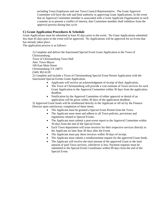including Town Employees and one Town Council Representative. The Grant Approval Committee will have the sole and final authority in approving Grant Applications. In the event that an Approval Committee member is associated with a Grant Applicant Organization in such a manner as to present a conflict of interest, that Committee member shall withdraw from the approval process during that cycle.

#### **C) Grant Application Procedures & Schedule**

Grant Applications must be submitted at least 45 days prior to the event. No Grant Applications submitted less than 45 days prior to the event will be approved. No Applications will be approved for an Event that has already taken place.

The application process is as follows:

1) Complete and deliver the Sanctioned Special Event Grant Application to the Town of Christiansburg; Town of Christiansburg Town Hall Attn: Town Mayor 100 East Main Street Christiansburg VA 24073 (540) 382-6128 2) Complete and include a Town of Christiansburg Special Event Permit Application with the

- Sanctioned Special Events Grant Application.
	- Applicants will receive an acknowledgment of receipt of their Application.
	- The Town of Christiansburg will provide a cost estimate of Town services for each Grant Application to the Approval Committee within 30 days from the application deadline.
	- Notification by the Approval Committee of either approval or denial of an application will be given within 30 days of the application deadline.

3) Approved Grant funds will be reimbursed directly to the Applicant or off set by the Finance Director upon satisfactory completion of these items:

- The Applicant must be granted a Special Event Permit from the Town.
- The Applicant must meet and adhere to all Town policies, provisions and regulations related to Special Events.
- The Applicant must submit a post-event report to the Approval Committee within 30 days from the end of the Special Event.
- Each Town department will issue invoices for their respective services directly to the Applicant no later than 30 days after the Event.
- The Applicant must pay these invoices within 30 days of receipt.
- The Applicant must submit a reimbursement request for the approved Grant funds.
- The Applicant will receive the total amount of the approved Grant or the total amount of paid Town services, whichever is less. Payment requests must be submitted to the Special Event Coordinator within 90 days from the end of the Special Event.